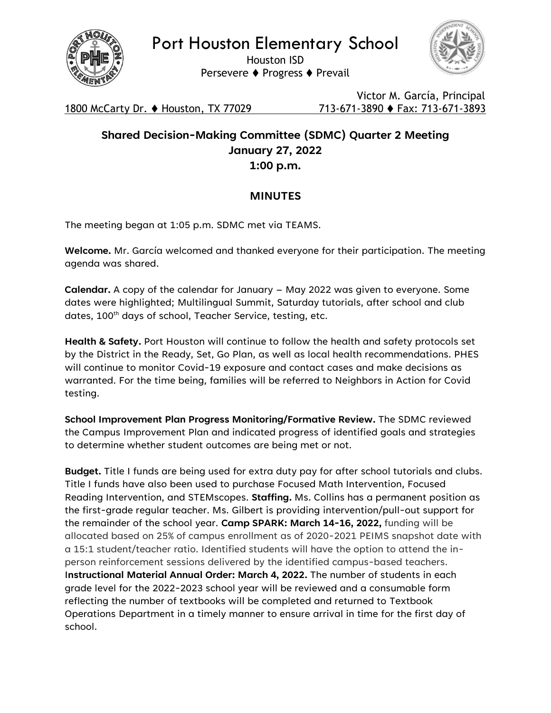

Port Houston Elementary School

Houston ISD Persevere ⧫ Progress ⧫ Prevail



1800 McCarty Dr. ⧫ Houston, TX 77029 713-671-3890 ⧫ Fax: 713-671-3893

Victor M. García, Principal

## **Shared Decision-Making Committee (SDMC) Quarter 2 Meeting January 27, 2022 1:00 p.m.**

## **MINUTES**

The meeting began at 1:05 p.m. SDMC met via TEAMS.

**Welcome.** Mr. García welcomed and thanked everyone for their participation. The meeting agenda was shared.

**Calendar.** A copy of the calendar for January – May 2022 was given to everyone. Some dates were highlighted; Multilingual Summit, Saturday tutorials, after school and club dates, 100<sup>th</sup> days of school, Teacher Service, testing, etc.

**Health & Safety.** Port Houston will continue to follow the health and safety protocols set by the District in the Ready, Set, Go Plan, as well as local health recommendations. PHES will continue to monitor Covid-19 exposure and contact cases and make decisions as warranted. For the time being, families will be referred to Neighbors in Action for Covid testing.

**School Improvement Plan Progress Monitoring/Formative Review.** The SDMC reviewed the Campus Improvement Plan and indicated progress of identified goals and strategies to determine whether student outcomes are being met or not.

**Budget.** Title I funds are being used for extra duty pay for after school tutorials and clubs. Title I funds have also been used to purchase Focused Math Intervention, Focused Reading Intervention, and STEMscopes. **Staffing.** Ms. Collins has a permanent position as the first-grade regular teacher. Ms. Gilbert is providing intervention/pull-out support for the remainder of the school year. **Camp SPARK: March 14-16, 2022,** funding will be allocated based on 25% of campus enrollment as of 2020-2021 PEIMS snapshot date with a 15:1 student/teacher ratio. Identified students will have the option to attend the inperson reinforcement sessions delivered by the identified campus-based teachers. **Instructional Material Annual Order: March 4, 2022.** The number of students in each grade level for the 2022-2023 school year will be reviewed and a consumable form reflecting the number of textbooks will be completed and returned to Textbook Operations Department in a timely manner to ensure arrival in time for the first day of school.